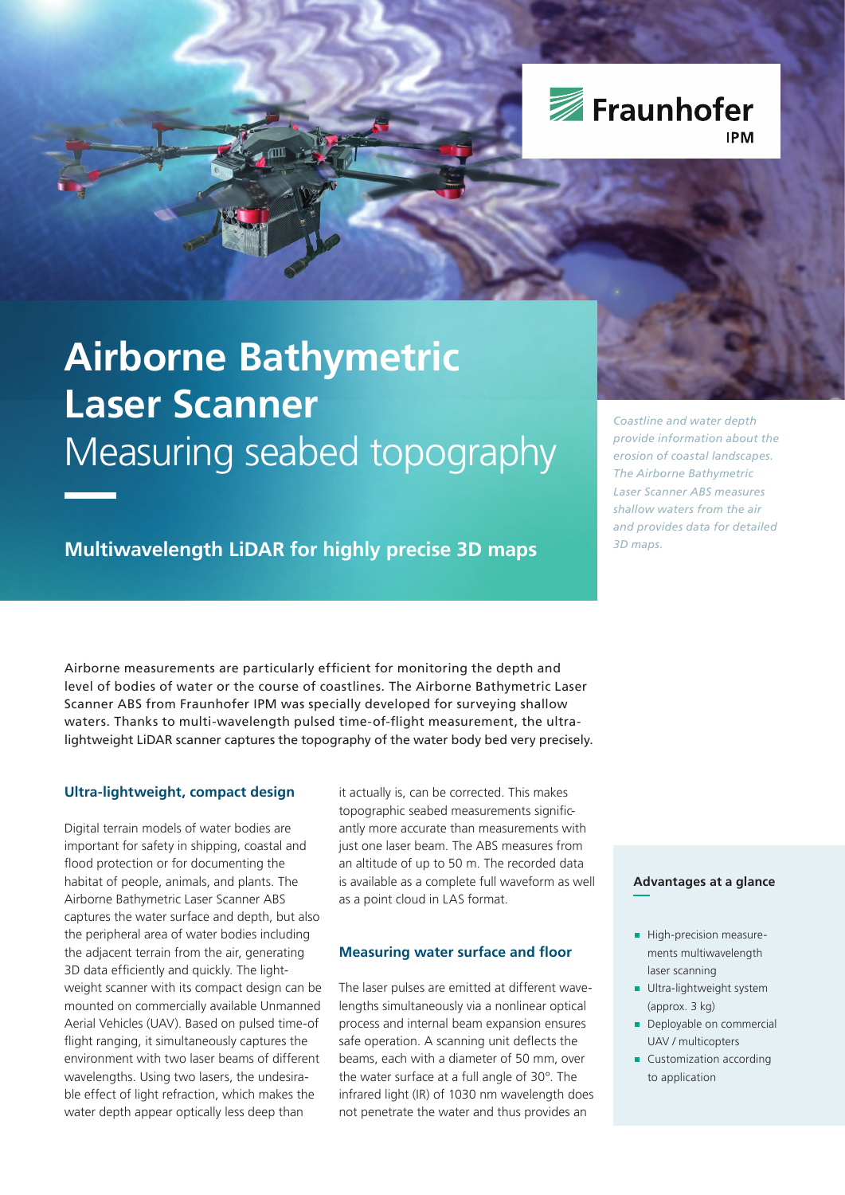

# **Airborne Bathymetric Laser Scanner** Measuring seabed topography

**Multiwavelength LiDAR for highly precise 3D maps**

*Coastline and water depth provide information about the erosion of coastal landscapes. The Airborne Bathymetric Laser Scanner ABS measures shallow waters from the air and provides data for detailed 3D maps.*

Airborne measurements are particularly efficient for monitoring the depth and level of bodies of water or the course of coastlines. The Airborne Bathymetric Laser Scanner ABS from Fraunhofer IPM was specially developed for surveying shallow waters. Thanks to multi-wavelength pulsed time-of-flight measurement, the ultralightweight LiDAR scanner captures the topography of the water body bed very precisely.

# **Ultra-lightweight, compact design**

Digital terrain models of water bodies are important for safety in shipping, coastal and flood protection or for documenting the habitat of people, animals, and plants. The Airborne Bathymetric Laser Scanner ABS captures the water surface and depth, but also the peripheral area of water bodies including the adjacent terrain from the air, generating 3D data efficiently and quickly. The lightweight scanner with its compact design can be mounted on commercially available Unmanned Aerial Vehicles (UAV). Based on pulsed time-of flight ranging, it simultaneously captures the environment with two laser beams of different wavelengths. Using two lasers, the undesirable effect of light refraction, which makes the water depth appear optically less deep than

it actually is, can be corrected. This makes topographic seabed measurements significantly more accurate than measurements with just one laser beam. The ABS measures from an altitude of up to 50 m. The recorded data is available as a complete full waveform as well as a point cloud in LAS format.

# **Measuring water surface and floor**

The laser pulses are emitted at different wavelengths simultaneously via a nonlinear optical process and internal beam expansion ensures safe operation. A scanning unit deflects the beams, each with a diameter of 50 mm, over the water surface at a full angle of 30°. The infrared light (IR) of 1030 nm wavelength does not penetrate the water and thus provides an

# **Advantages at a glance**

- High-precision measurements multiwavelength laser scanning
- **Ultra-lightweight system** (approx. 3 kg)
- Deployable on commercial UAV / multicopters
- Customization according to application